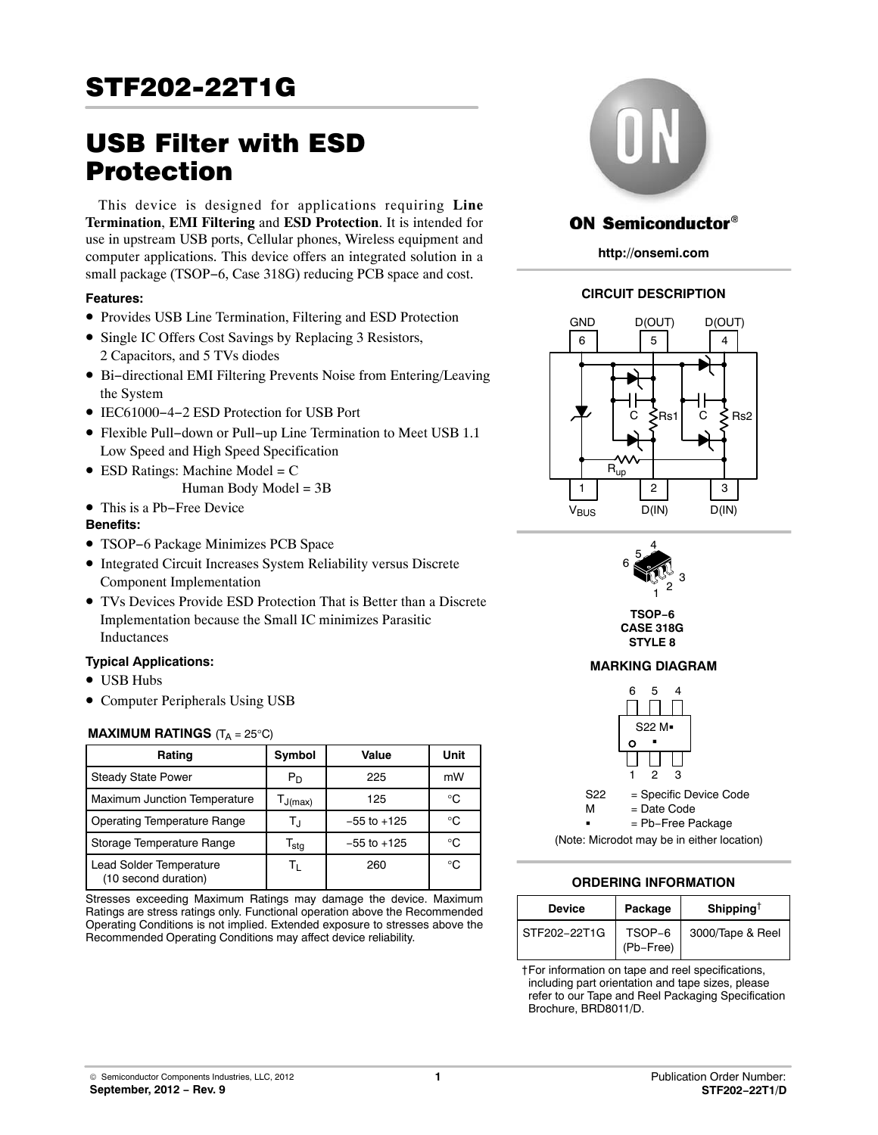# STF202-22T1G

# USB Filter with ESD Protection

This device is designed for applications requiring **Line Termination**, **EMI Filtering** and **ESD Protection**. It is intended for use in upstream USB ports, Cellular phones, Wireless equipment and computer applications. This device offers an integrated solution in a small package (TSOP−6, Case 318G) reducing PCB space and cost.

## **Features:**

- Provides USB Line Termination, Filtering and ESD Protection
- Single IC Offers Cost Savings by Replacing 3 Resistors, 2 Capacitors, and 5 TVs diodes
- Bi−directional EMI Filtering Prevents Noise from Entering/Leaving the System
- IEC61000−4−2 ESD Protection for USB Port
- Flexible Pull−down or Pull−up Line Termination to Meet USB 1.1 Low Speed and High Speed Specification
- ESD Ratings: Machine Model = C Human Body Model =  $3B$
- This is a Pb−Free Device

## **Benefits:**

- TSOP−6 Package Minimizes PCB Space
- Integrated Circuit Increases System Reliability versus Discrete Component Implementation
- TVs Devices Provide ESD Protection That is Better than a Discrete Implementation because the Small IC minimizes Parasitic Inductances

# **Typical Applications:**

- USB Hubs
- Computer Peripherals Using USB

# **MAXIMUM RATINGS**  $(T_A = 25^{\circ}C)$

| Rating                                          | Symbol                      | Value           | Unit |
|-------------------------------------------------|-----------------------------|-----------------|------|
| <b>Steady State Power</b>                       | $P_D$                       | 225             | mW   |
| Maximum Junction Temperature                    | $T_{J(max)}$                | 125             | ി    |
| Operating Temperature Range                     | Т,                          | $-55$ to $+125$ | ി    |
| Storage Temperature Range                       | $\mathsf{T}_{\mathsf{stg}}$ | $-55$ to $+125$ | ി    |
| Lead Solder Temperature<br>(10 second duration) | Tı.                         | 260             | ി    |

Stresses exceeding Maximum Ratings may damage the device. Maximum Ratings are stress ratings only. Functional operation above the Recommended Operating Conditions is not implied. Extended exposure to stresses above the Recommended Operating Conditions may affect device reliability.



# **ON Semiconductor®**

**http://onsemi.com**

# **CIRCUIT DESCRIPTION**





**TSOP−6 CASE 318G STYLE 8**

# **MARKING DIAGRAM**



# **ORDERING INFORMATION**

| Device       | Package             | Shipping <sup>†</sup> |
|--------------|---------------------|-----------------------|
| STF202-22T1G | TSOP-6<br>(Pb-Free) | 3000/Tape & Reel      |

†For information on tape and reel specifications, including part orientation and tape sizes, please refer to our Tape and Reel Packaging Specification Brochure, BRD8011/D.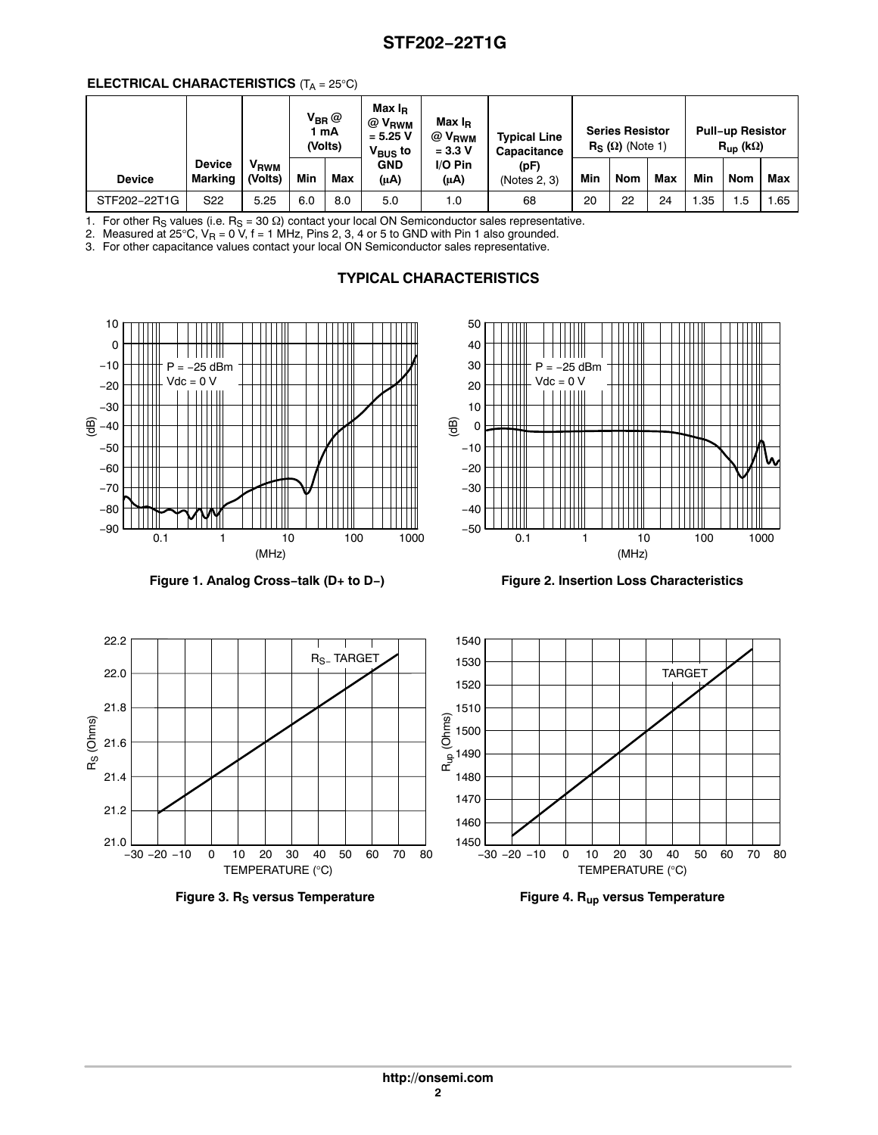### **ELECTRICAL CHARACTERISTICS** (T<sub>A</sub> = 25°C)

|               |                          |                             | $\mathsf{V}_{\mathsf{BR}} @$<br>1 mA<br>(Volts) |     | Max I <sub>B</sub><br>@ V <sub>RWM</sub><br>$= 5.25 V$<br>$V_{\text{BUS}}$ to | Max I <sub>R</sub><br>$@V_{RWM}$<br><b>Typical Line</b><br>$= 3.3 V$<br>Capacitance |                      |     | <b>Series Resistor</b><br>$R_S(\Omega)$ (Note 1) |     |     | <b>Pull-up Resistor</b><br>$\mathsf{R}_{\mathsf{up}}$ (k $\Omega$ ) |       |
|---------------|--------------------------|-----------------------------|-------------------------------------------------|-----|-------------------------------------------------------------------------------|-------------------------------------------------------------------------------------|----------------------|-----|--------------------------------------------------|-----|-----|---------------------------------------------------------------------|-------|
| <b>Device</b> | <b>Device</b><br>Marking | V <sub>RWM</sub><br>(Volts) | Min                                             | Max | <b>GND</b><br>(μA)                                                            | $I/O P$ in<br>$(\mu A)$                                                             | (pF)<br>(Notes 2, 3) | Min | <b>Nom</b>                                       | Max | Min | Nom                                                                 | Max   |
| STF202-22T1G  | S22                      | 5.25                        | 6.0                                             | 8.0 | 5.0                                                                           | 1.0                                                                                 | 68                   | 20  | 22                                               | 24  | .35 | . .5                                                                | . .65 |

1. For other R<sub>S</sub> values (i.e.  $R_S = 30 \Omega$ ) contact your local ON Semiconductor sales representative.

2. Measured at 25°C,  $V_R$  = 0 V, f = 1 MHz, Pins 2, 3, 4 or 5 to GND with Pin 1 also grounded.

3. For other capacitance values contact your local ON Semiconductor sales representative.

# **TYPICAL CHARACTERISTICS**





**Figure 1. Analog Cross−talk (D+ to D−) Figure 2. Insertion Loss Characteristics**





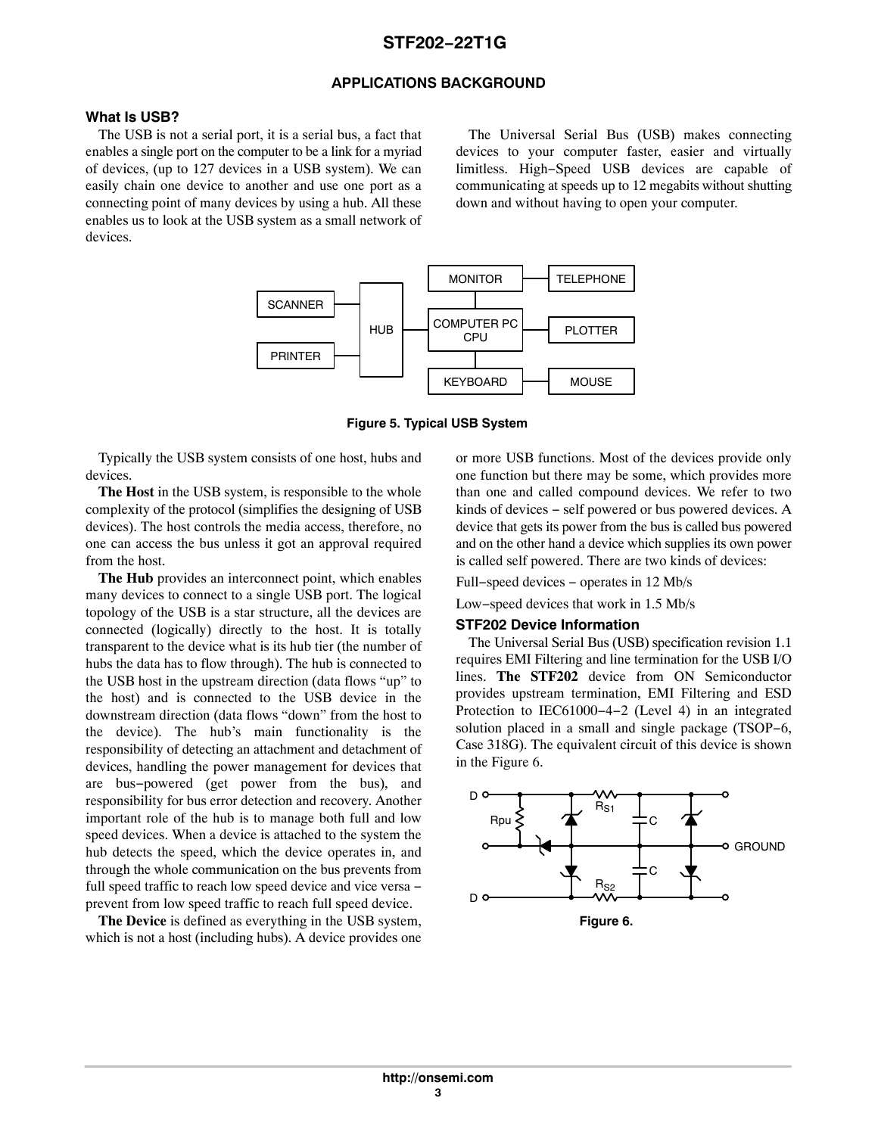# **STF202−22T1G**

### **APPLICATIONS BACKGROUND**

#### **What Is USB?**

The USB is not a serial port, it is a serial bus, a fact that enables a single port on the computer to be a link for a myriad of devices, (up to 127 devices in a USB system). We can easily chain one device to another and use one port as a connecting point of many devices by using a hub. All these enables us to look at the USB system as a small network of devices.

The Universal Serial Bus (USB) makes connecting devices to your computer faster, easier and virtually limitless. High−Speed USB devices are capable of communicating at speeds up to 12 megabits without shutting down and without having to open your computer.



**Figure 5. Typical USB System**

Typically the USB system consists of one host, hubs and devices.

**The Host** in the USB system, is responsible to the whole complexity of the protocol (simplifies the designing of USB devices). The host controls the media access, therefore, no one can access the bus unless it got an approval required from the host.

**The Hub** provides an interconnect point, which enables many devices to connect to a single USB port. The logical topology of the USB is a star structure, all the devices are connected (logically) directly to the host. It is totally transparent to the device what is its hub tier (the number of hubs the data has to flow through). The hub is connected to the USB host in the upstream direction (data flows "up" to the host) and is connected to the USB device in the downstream direction (data flows "down" from the host to the device). The hub's main functionality is the responsibility of detecting an attachment and detachment of devices, handling the power management for devices that are bus−powered (get power from the bus), and responsibility for bus error detection and recovery. Another important role of the hub is to manage both full and low speed devices. When a device is attached to the system the hub detects the speed, which the device operates in, and through the whole communication on the bus prevents from full speed traffic to reach low speed device and vice versa – prevent from low speed traffic to reach full speed device.

**The Device** is defined as everything in the USB system, which is not a host (including hubs). A device provides one or more USB functions. Most of the devices provide only one function but there may be some, which provides more than one and called compound devices. We refer to two kinds of devices − self powered or bus powered devices. A device that gets its power from the bus is called bus powered and on the other hand a device which supplies its own power is called self powered. There are two kinds of devices:

Full−speed devices − operates in 12 Mb/s

Low−speed devices that work in 1.5 Mb/s

#### **STF202 Device Information**

The Universal Serial Bus (USB) specification revision 1.1 requires EMI Filtering and line termination for the USB I/O lines. **The STF202** device from ON Semiconductor provides upstream termination, EMI Filtering and ESD Protection to IEC61000−4−2 (Level 4) in an integrated solution placed in a small and single package (TSOP−6, Case 318G). The equivalent circuit of this device is shown in the Figure 6.

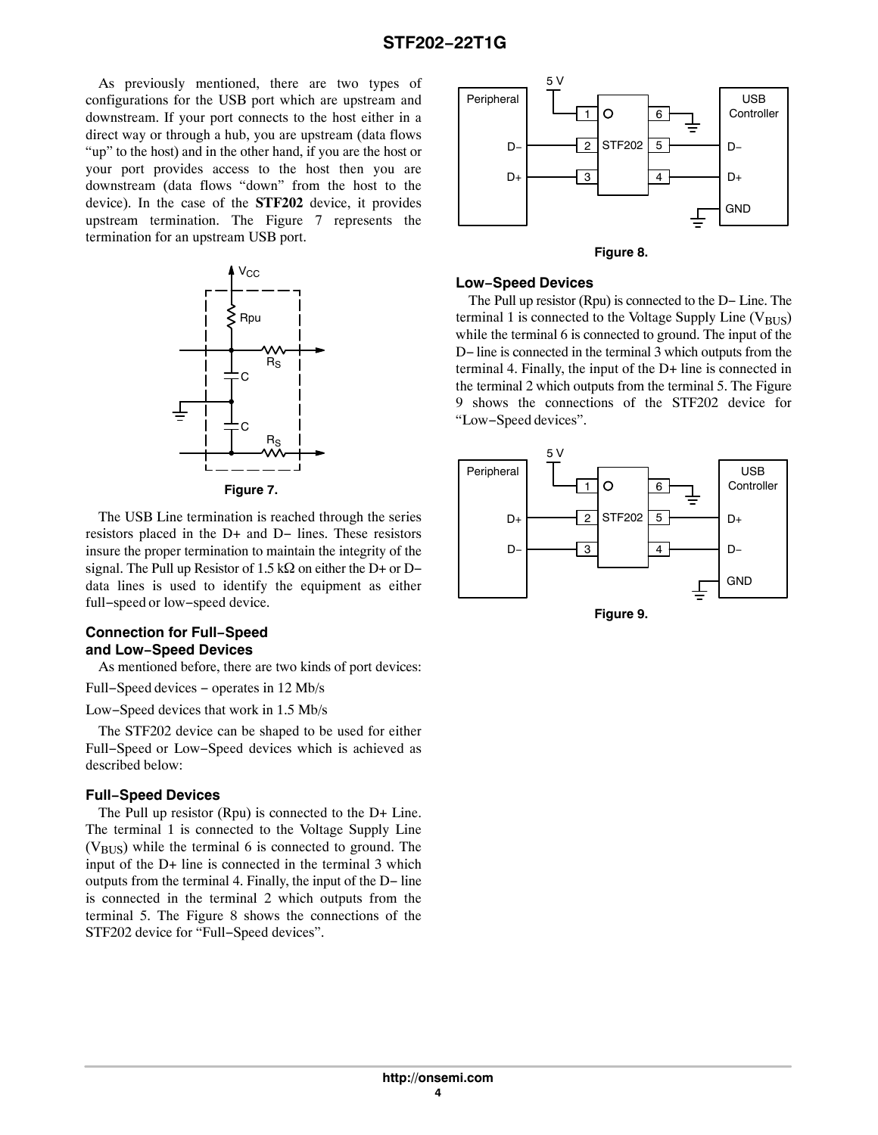As previously mentioned, there are two types of configurations for the USB port which are upstream and downstream. If your port connects to the host either in a direct way or through a hub, you are upstream (data flows "up" to the host) and in the other hand, if you are the host or your port provides access to the host then you are downstream (data flows "down" from the host to the device). In the case of the **STF202** device, it provides upstream termination. The Figure 7 represents the termination for an upstream USB port.



**Figure 7.** 

The USB Line termination is reached through the series resistors placed in the D+ and D− lines. These resistors insure the proper termination to maintain the integrity of the signal. The Pull up Resistor of  $1.5 \text{ k}\Omega$  on either the D+ or Ddata lines is used to identify the equipment as either full−speed or low−speed device.

### **Connection for Full−Speed and Low−Speed Devices**

As mentioned before, there are two kinds of port devices:

Full−Speed devices − operates in 12 Mb/s

Low−Speed devices that work in 1.5 Mb/s

The STF202 device can be shaped to be used for either Full−Speed or Low−Speed devices which is achieved as described below:

#### **Full−Speed Devices**

The Pull up resistor (Rpu) is connected to the D+ Line. The terminal 1 is connected to the Voltage Supply Line  $(V_{\text{BUS}})$  while the terminal 6 is connected to ground. The input of the D+ line is connected in the terminal 3 which outputs from the terminal 4. Finally, the input of the D− line is connected in the terminal 2 which outputs from the terminal 5. The Figure 8 shows the connections of the STF202 device for "Full−Speed devices".





#### **Low−Speed Devices**

The Pull up resistor (Rpu) is connected to the D− Line. The terminal 1 is connected to the Voltage Supply Line  $(V_{\text{RUS}})$ while the terminal 6 is connected to ground. The input of the D– line is connected in the terminal 3 which outputs from the terminal 4. Finally, the input of the D+ line is connected in the terminal 2 which outputs from the terminal 5. The Figure 9 shows the connections of the STF202 device for "Low−Speed devices".



**Figure 9.**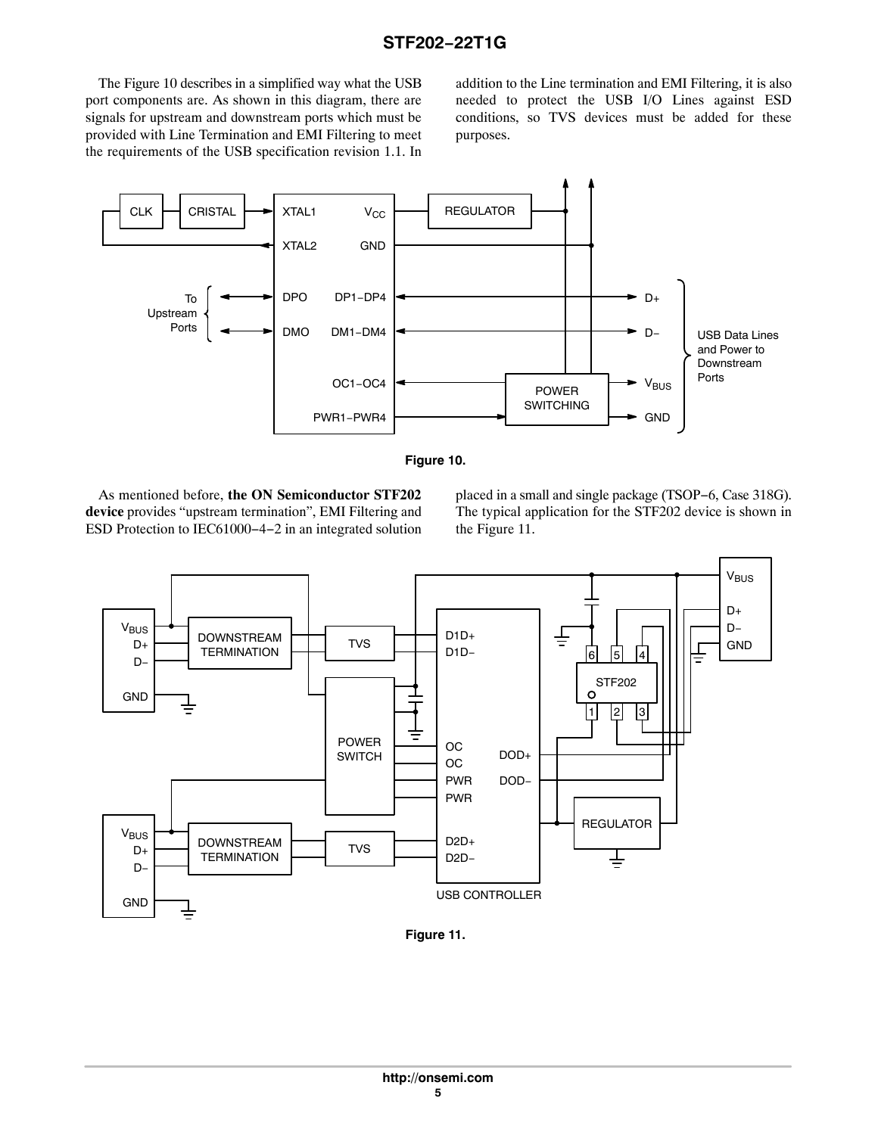The Figure 10 describes in a simplified way what the USB port components are. As shown in this diagram, there are signals for upstream and downstream ports which must be provided with Line Termination and EMI Filtering to meet the requirements of the USB specification revision 1.1. In

addition to the Line termination and EMI Filtering, it is also needed to protect the USB I/O Lines against ESD conditions, so TVS devices must be added for these purposes.





As mentioned before, **the ON Semiconductor STF202 device** provides "upstream termination", EMI Filtering and ESD Protection to IEC61000−4−2 in an integrated solution placed in a small and single package (TSOP−6, Case 318G). The typical application for the STF202 device is shown in the Figure 11.